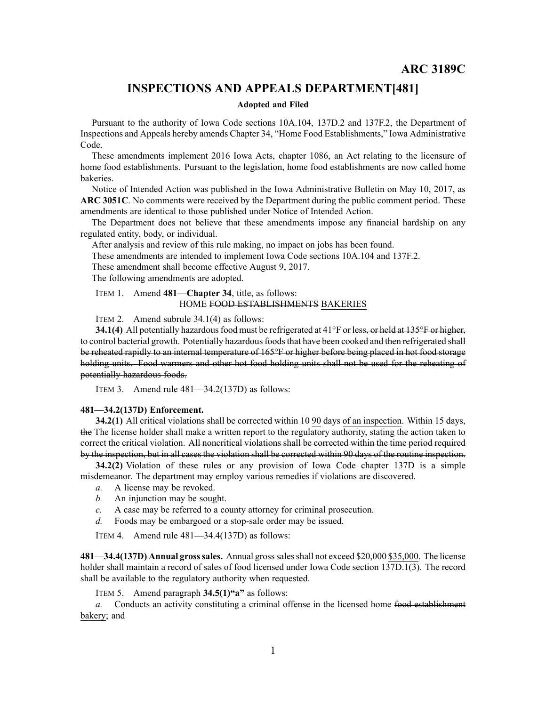## **INSPECTIONS AND APPEALS DEPARTMENT[481]**

## **Adopted and Filed**

Pursuant to the authority of Iowa Code sections 10A.104, 137D.2 and 137F.2, the Department of Inspections and Appeals hereby amends Chapter 34, "Home Food Establishments," Iowa Administrative Code.

These amendments implement 2016 Iowa Acts, chapter 1086, an Act relating to the licensure of home food establishments. Pursuant to the legislation, home food establishments are now called home bakeries.

Notice of Intended Action was published in the Iowa Administrative Bulletin on May 10, 2017, as **ARC 3051C**. No comments were received by the Department during the public comment period. These amendments are identical to those published under Notice of Intended Action.

The Department does not believe that these amendments impose any financial hardship on any regulated entity, body, or individual.

After analysis and review of this rule making, no impact on jobs has been found.

These amendments are intended to implement Iowa Code sections 10A.104 and 137F.2.

These amendment shall become effective August 9, 2017.

The following amendments are adopted.

## ITEM 1. Amend **481—Chapter 34**, title, as follows: HOME FOOD ESTABLISHMENTS BAKERIES

ITEM 2. Amend subrule 34.1(4) as follows:

**34.1(4)** All potentially hazardous food must be refrigerated at 41°F or less, or held at 135°F or higher, to control bacterial growth. Potentially hazardous foods that have been cooked and then refrigerated shall be reheated rapidly to an internal temperature of 165°F or higher before being placed in hot food storage holding units. Food warmers and other hot food holding units shall not be used for the reheating of potentially hazardous foods.

ITEM 3. Amend rule 481—34.2(137D) as follows:

## **481—34.2(137D) Enforcement.**

**34.2(1)** All critical violations shall be corrected within 10 90 days of an inspection. Within 15 days, the The license holder shall make <sup>a</sup> written repor<sup>t</sup> to the regulatory authority, stating the action taken to correct the critical violation. All noncritical violations shall be corrected within the time period required by the inspection, but in all cases the violation shall be corrected within 90 days of the routine inspection.

**34.2(2)** Violation of these rules or any provision of Iowa Code chapter [137D](https://www.legis.iowa.gov/docs/ico/chapter/137D.pdf) is <sup>a</sup> simple misdemeanor. The department may employ various remedies if violations are discovered.

- *a.* A license may be revoked.
- *b.* An injunction may be sought.
- *c.* A case may be referred to <sup>a</sup> county attorney for criminal prosecution.
- *d.* Foods may be embargoed or <sup>a</sup> stop-sale order may be issued.

ITEM 4. Amend rule 481—34.4(137D) as follows:

**481—34.4(137D) Annual grosssales.** Annual grosssalesshall not exceed \$20,000 \$35,000. The license holder shall maintain <sup>a</sup> record of sales of food licensed under Iowa Code section [137D.1\(3\)](https://www.legis.iowa.gov/docs/ico/section/137D.1.pdf). The record shall be available to the regulatory authority when requested.

ITEM 5. Amend paragraph **34.5(1)"a"** as follows:

*a.* Conducts an activity constituting <sup>a</sup> criminal offense in the licensed home food establishment bakery; and